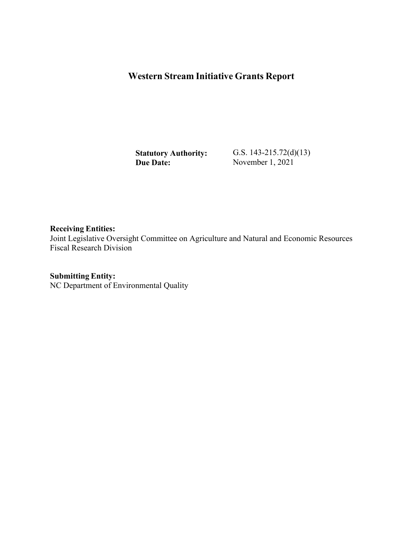## **Western Stream Initiative Grants Report**

**Statutory Authority: Due Date:**

G.S. 143-215.72(d)(13) November 1, 2021

**Receiving Entities:** Joint Legislative Oversight Committee on Agriculture and Natural and Economic Resources Fiscal Research Division

**Submitting Entity:** NC Department of Environmental Quality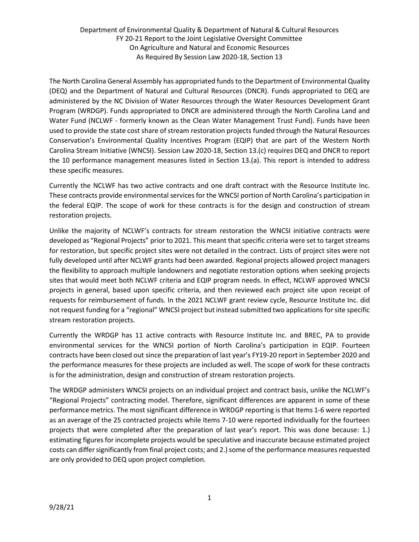Department of Environmental Quality & Department of Natural & Cultural Resources FY 20-21 Report to the Joint Legislative Oversight Committee On Agriculture and Natural and Economic Resources As Required By Session Law 2020-18, Section 13

The North Carolina General Assembly has appropriated funds to the Department of Environmental Quality (DEQ) and the Department of Natural and Cultural Resources (DNCR). Funds appropriated to DEQ are administered by the NC Division of Water Resources through the Water Resources Development Grant Program (WRDGP). Funds appropriated to DNCR are administered through the North Carolina Land and Water Fund (NCLWF - formerly known as the Clean Water Management Trust Fund). Funds have been used to provide the state cost share of stream restoration projects funded through the Natural Resources Conservation's Environmental Quality Incentives Program (EQIP) that are part of the Western North Carolina Stream Initiative (WNCSI). Session Law 2020-18, Section 13.(c) requires DEQ and DNCR to report the 10 performance management measures listed in Section 13.(a). This report is intended to address these specific measures.

Currently the NCLWF has two active contracts and one draft contract with the Resource Institute Inc. These contracts provide environmental services for the WNCSI portion of North Carolina's participation in the federal EQIP. The scope of work for these contracts is for the design and construction of stream restoration projects.

Unlike the majority of NCLWF's contracts for stream restoration the WNCSI initiative contracts were developed as "Regional Projects" prior to 2021. This meant that specific criteria were set to target streams for restoration, but specific project sites were not detailed in the contract. Lists of project sites were not fully developed until after NCLWF grants had been awarded. Regional projects allowed project managers the flexibility to approach multiple landowners and negotiate restoration options when seeking projects sites that would meet both NCLWF criteria and EQIP program needs. In effect, NCLWF approved WNCSI projects in general, based upon specific criteria, and then reviewed each project site upon receipt of requests for reimbursement of funds. In the 2021 NCLWF grant review cycle, Resource Institute Inc. did not request funding for a "regional" WNCSI project but instead submitted two applications forsite specific stream restoration projects.

Currently the WRDGP has 11 active contracts with Resource Institute Inc. and BREC, PA to provide environmental services for the WNCSI portion of North Carolina's participation in EQIP. Fourteen contracts have been closed out since the preparation of last year's FY19-20 report in September 2020 and the performance measures for these projects are included as well. The scope of work for these contracts is for the administration, design and construction of stream restoration projects.

The WRDGP administers WNCSI projects on an individual project and contract basis, unlike the NCLWF's "Regional Projects" contracting model. Therefore, significant differences are apparent in some of these performance metrics. The most significant difference in WRDGP reporting is that Items 1-6 were reported as an average of the 25 contracted projects while Items 7-10 were reported individually for the fourteen projects that were completed after the preparation of last year's report. This was done because: 1.) estimating figures for incomplete projects would be speculative and inaccurate because estimated project costs can differ significantly from final project costs; and 2.) some of the performance measures requested are only provided to DEQ upon project completion.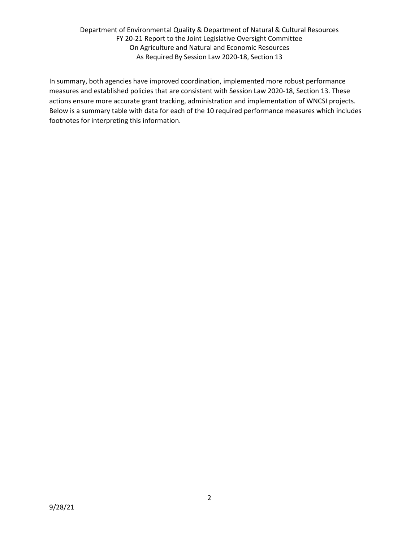Department of Environmental Quality & Department of Natural & Cultural Resources FY 20-21 Report to the Joint Legislative Oversight Committee On Agriculture and Natural and Economic Resources As Required By Session Law 2020-18, Section 13

In summary, both agencies have improved coordination, implemented more robust performance measures and established policies that are consistent with Session Law 2020-18, Section 13. These actions ensure more accurate grant tracking, administration and implementation of WNCSI projects. Below is a summary table with data for each of the 10 required performance measures which includes footnotes for interpreting this information.